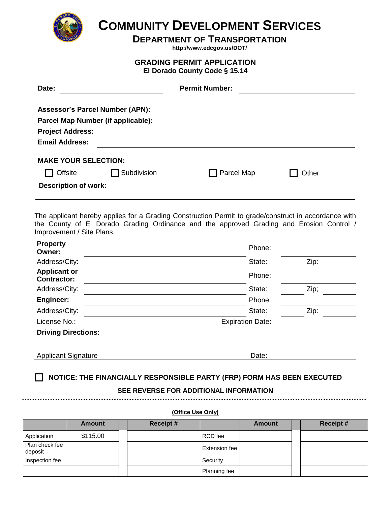

## **COMMUNITY DEVELOPMENT SERVICES**

**DEPARTMENT OF TRANSPORTATION** 

**http://www.edcgov.us/DOT/** 

## **GRADING PERMIT APPLICATION**

**El Dorado County Code § 15.14** 

| Date:                                  |             | <b>Permit Number:</b> |  |       |
|----------------------------------------|-------------|-----------------------|--|-------|
| <b>Assessor's Parcel Number (APN):</b> |             |                       |  |       |
| Parcel Map Number (if applicable):     |             |                       |  |       |
| <b>Project Address:</b>                |             |                       |  |       |
| <b>Email Address:</b>                  |             |                       |  |       |
| <b>MAKE YOUR SELECTION:</b>            |             |                       |  |       |
| Offsite                                | Subdivision | Parcel Map            |  | Other |
| <b>Description of work:</b>            |             |                       |  |       |
|                                        |             |                       |  |       |

The applicant hereby applies for a Grading Construction Permit to grade/construct in accordance with the County of El Dorado Grading Ordinance and the approved Grading and Erosion Control / Improvement / Site Plans.

| <b>Property</b><br>Owner:                 | Phone:                  |      |
|-------------------------------------------|-------------------------|------|
| Address/City:                             | State:                  | Zip: |
| <b>Applicant or</b><br><b>Contractor:</b> | Phone:                  |      |
| Address/City:                             | State:                  | Zip; |
| Engineer:                                 | Phone:                  |      |
| Address/City:                             | State:                  | Zip: |
| License No.:                              | <b>Expiration Date:</b> |      |
| <b>Driving Directions:</b>                |                         |      |
|                                           |                         |      |
| <b>Applicant Signature</b>                | Date:                   |      |

**NOTICE: THE FINANCIALLY RESPONSIBLE PARTY (FRP) FORM HAS BEEN EXECUTED**

## **SEE REVERSE FOR ADDITIONAL INFORMATION**

**(Office Use Only)** 

|                           | <b>Amount</b> | <b>Receipt #</b> |                      | <b>Amount</b> | <b>Receipt#</b> |
|---------------------------|---------------|------------------|----------------------|---------------|-----------------|
| Application               | \$115.00      |                  | RCD fee              |               |                 |
| Plan check fee<br>deposit |               |                  | <b>Extension fee</b> |               |                 |
| Inspection fee            |               |                  | Security             |               |                 |
|                           |               |                  | Planning fee         |               |                 |